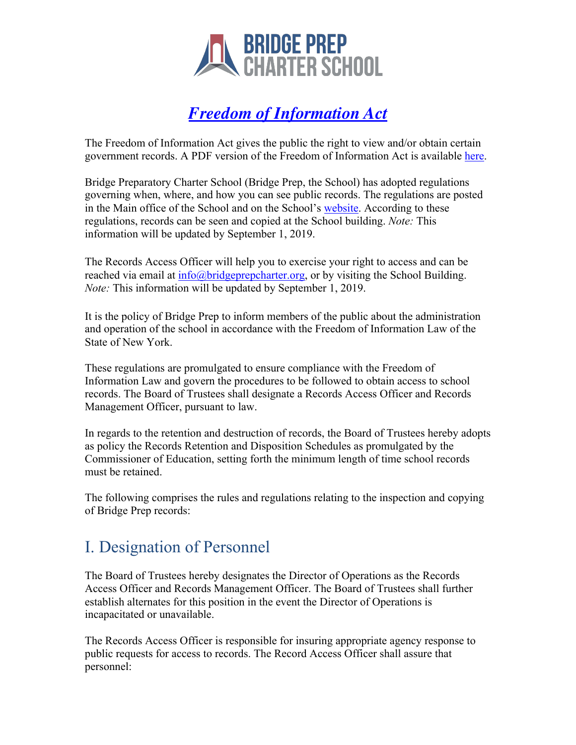

## *Freedom of Information Act*

The Freedom of Information Act gives the public the right to view and/or obtain certain government records. A PDF version of the Freedom of Information Act is available here.

Bridge Preparatory Charter School (Bridge Prep, the School) has adopted regulations governing when, where, and how you can see public records. The regulations are posted in the Main office of the School and on the School's website. According to these regulations, records can be seen and copied at the School building. *Note:* This information will be updated by September 1, 2019.

The Records Access Officer will help you to exercise your right to access and can be reached via email at info@bridgeprepcharter.org, or by visiting the School Building. *Note:* This information will be updated by September 1, 2019.

It is the policy of Bridge Prep to inform members of the public about the administration and operation of the school in accordance with the Freedom of Information Law of the State of New York.

These regulations are promulgated to ensure compliance with the Freedom of Information Law and govern the procedures to be followed to obtain access to school records. The Board of Trustees shall designate a Records Access Officer and Records Management Officer, pursuant to law.

In regards to the retention and destruction of records, the Board of Trustees hereby adopts as policy the Records Retention and Disposition Schedules as promulgated by the Commissioner of Education, setting forth the minimum length of time school records must be retained.

The following comprises the rules and regulations relating to the inspection and copying of Bridge Prep records:

## I. Designation of Personnel

The Board of Trustees hereby designates the Director of Operations as the Records Access Officer and Records Management Officer. The Board of Trustees shall further establish alternates for this position in the event the Director of Operations is incapacitated or unavailable.

The Records Access Officer is responsible for insuring appropriate agency response to public requests for access to records. The Record Access Officer shall assure that personnel: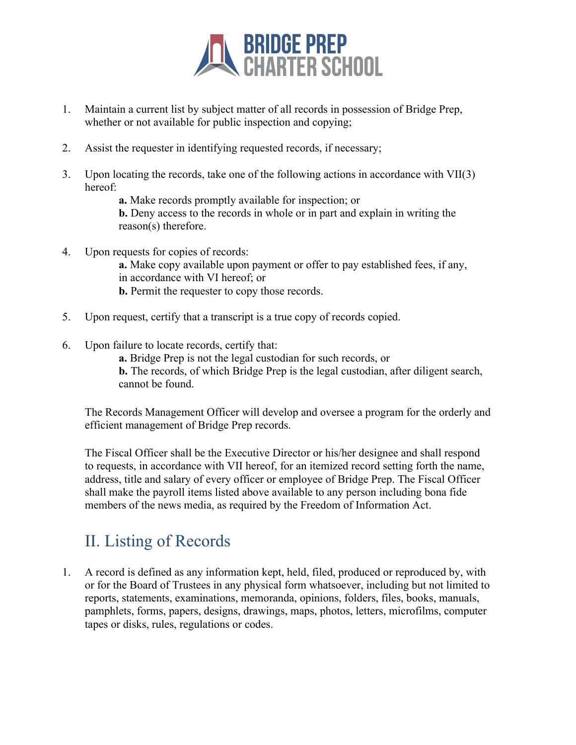

- 1. Maintain a current list by subject matter of all records in possession of Bridge Prep, whether or not available for public inspection and copying;
- 2. Assist the requester in identifying requested records, if necessary;
- 3. Upon locating the records, take one of the following actions in accordance with VII(3) hereof:

**a.** Make records promptly available for inspection; or

**b.** Deny access to the records in whole or in part and explain in writing the reason(s) therefore.

4. Upon requests for copies of records:

**a.** Make copy available upon payment or offer to pay established fees, if any, in accordance with VI hereof; or **b.** Permit the requester to copy those records.

- 5. Upon request, certify that a transcript is a true copy of records copied.
- 6. Upon failure to locate records, certify that:

**a.** Bridge Prep is not the legal custodian for such records, or **b.** The records, of which Bridge Prep is the legal custodian, after diligent search, cannot be found.

The Records Management Officer will develop and oversee a program for the orderly and efficient management of Bridge Prep records.

The Fiscal Officer shall be the Executive Director or his/her designee and shall respond to requests, in accordance with VII hereof, for an itemized record setting forth the name, address, title and salary of every officer or employee of Bridge Prep. The Fiscal Officer shall make the payroll items listed above available to any person including bona fide members of the news media, as required by the Freedom of Information Act.

## II. Listing of Records

1. A record is defined as any information kept, held, filed, produced or reproduced by, with or for the Board of Trustees in any physical form whatsoever, including but not limited to reports, statements, examinations, memoranda, opinions, folders, files, books, manuals, pamphlets, forms, papers, designs, drawings, maps, photos, letters, microfilms, computer tapes or disks, rules, regulations or codes.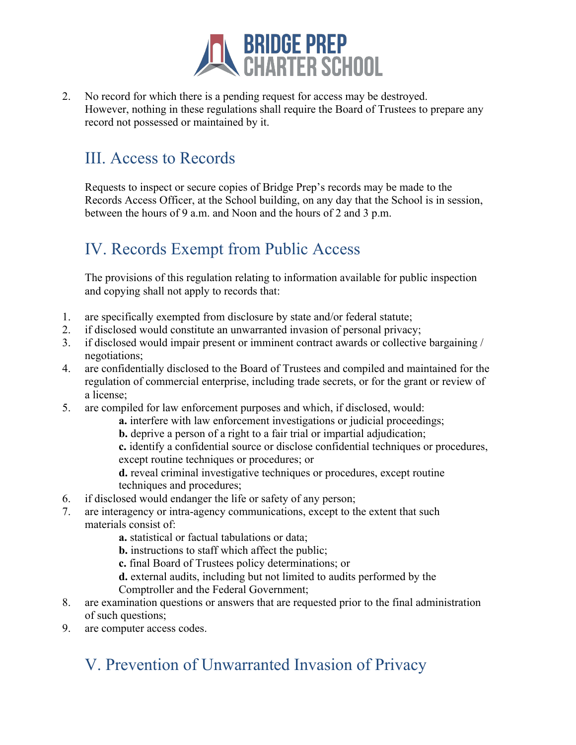

2. No record for which there is a pending request for access may be destroyed. However, nothing in these regulations shall require the Board of Trustees to prepare any record not possessed or maintained by it.

## III. Access to Records

Requests to inspect or secure copies of Bridge Prep's records may be made to the Records Access Officer, at the School building, on any day that the School is in session, between the hours of 9 a.m. and Noon and the hours of 2 and 3 p.m.

## IV. Records Exempt from Public Access

The provisions of this regulation relating to information available for public inspection and copying shall not apply to records that:

- 1. are specifically exempted from disclosure by state and/or federal statute;
- 2. if disclosed would constitute an unwarranted invasion of personal privacy;
- 3. if disclosed would impair present or imminent contract awards or collective bargaining / negotiations;
- 4. are confidentially disclosed to the Board of Trustees and compiled and maintained for the regulation of commercial enterprise, including trade secrets, or for the grant or review of a license;
- 5. are compiled for law enforcement purposes and which, if disclosed, would:
	- **a.** interfere with law enforcement investigations or judicial proceedings;
	- **b.** deprive a person of a right to a fair trial or impartial adjudication;
	- **c.** identify a confidential source or disclose confidential techniques or procedures, except routine techniques or procedures; or

**d.** reveal criminal investigative techniques or procedures, except routine techniques and procedures;

- 6. if disclosed would endanger the life or safety of any person;
- 7. are interagency or intra-agency communications, except to the extent that such materials consist of:
	- **a.** statistical or factual tabulations or data;
	- **b.** instructions to staff which affect the public;
	- **c.** final Board of Trustees policy determinations; or
	- **d.** external audits, including but not limited to audits performed by the
	- Comptroller and the Federal Government;
- 8. are examination questions or answers that are requested prior to the final administration of such questions;
- 9. are computer access codes.

# V. Prevention of Unwarranted Invasion of Privacy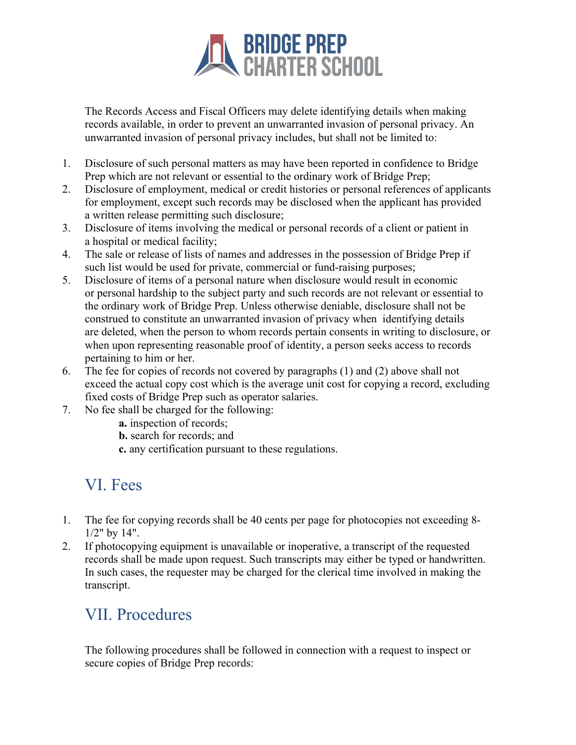

The Records Access and Fiscal Officers may delete identifying details when making records available, in order to prevent an unwarranted invasion of personal privacy. An unwarranted invasion of personal privacy includes, but shall not be limited to:

- 1. Disclosure of such personal matters as may have been reported in confidence to Bridge Prep which are not relevant or essential to the ordinary work of Bridge Prep;
- 2. Disclosure of employment, medical or credit histories or personal references of applicants for employment, except such records may be disclosed when the applicant has provided a written release permitting such disclosure;
- 3. Disclosure of items involving the medical or personal records of a client or patient in a hospital or medical facility;
- 4. The sale or release of lists of names and addresses in the possession of Bridge Prep if such list would be used for private, commercial or fund-raising purposes;
- 5. Disclosure of items of a personal nature when disclosure would result in economic or personal hardship to the subject party and such records are not relevant or essential to the ordinary work of Bridge Prep. Unless otherwise deniable, disclosure shall not be construed to constitute an unwarranted invasion of privacy when identifying details are deleted, when the person to whom records pertain consents in writing to disclosure, or when upon representing reasonable proof of identity, a person seeks access to records pertaining to him or her.
- 6. The fee for copies of records not covered by paragraphs (1) and (2) above shall not exceed the actual copy cost which is the average unit cost for copying a record, excluding fixed costs of Bridge Prep such as operator salaries.
- 7. No fee shall be charged for the following:
	- **a.** inspection of records;
	- **b.** search for records; and
	- **c.** any certification pursuant to these regulations.

#### VI. Fees

- 1. The fee for copying records shall be 40 cents per page for photocopies not exceeding 8- 1/2" by 14".
- 2. If photocopying equipment is unavailable or inoperative, a transcript of the requested records shall be made upon request. Such transcripts may either be typed or handwritten. In such cases, the requester may be charged for the clerical time involved in making the transcript.

#### VII. Procedures

The following procedures shall be followed in connection with a request to inspect or secure copies of Bridge Prep records: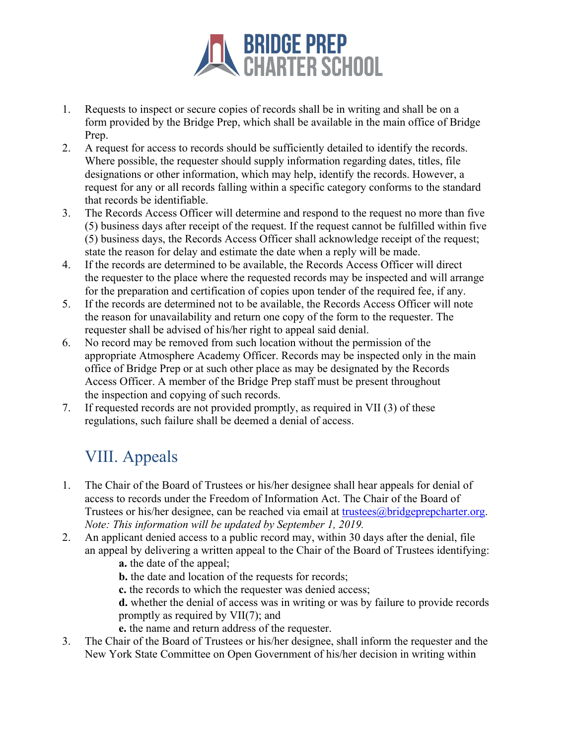

- 1. Requests to inspect or secure copies of records shall be in writing and shall be on a form provided by the Bridge Prep, which shall be available in the main office of Bridge Prep.
- 2. A request for access to records should be sufficiently detailed to identify the records. Where possible, the requester should supply information regarding dates, titles, file designations or other information, which may help, identify the records. However, a request for any or all records falling within a specific category conforms to the standard that records be identifiable.
- 3. The Records Access Officer will determine and respond to the request no more than five (5) business days after receipt of the request. If the request cannot be fulfilled within five (5) business days, the Records Access Officer shall acknowledge receipt of the request; state the reason for delay and estimate the date when a reply will be made.
- 4. If the records are determined to be available, the Records Access Officer will direct the requester to the place where the requested records may be inspected and will arrange for the preparation and certification of copies upon tender of the required fee, if any.
- 5. If the records are determined not to be available, the Records Access Officer will note the reason for unavailability and return one copy of the form to the requester. The requester shall be advised of his/her right to appeal said denial.
- 6. No record may be removed from such location without the permission of the appropriate Atmosphere Academy Officer. Records may be inspected only in the main office of Bridge Prep or at such other place as may be designated by the Records Access Officer. A member of the Bridge Prep staff must be present throughout the inspection and copying of such records.
- 7. If requested records are not provided promptly, as required in VII (3) of these regulations, such failure shall be deemed a denial of access.

## VIII. Appeals

- 1. The Chair of the Board of Trustees or his/her designee shall hear appeals for denial of access to records under the Freedom of Information Act. The Chair of the Board of Trustees or his/her designee, can be reached via email at trustees@bridgeprepcharter.org. *Note: This information will be updated by September 1, 2019.*
- 2. An applicant denied access to a public record may, within 30 days after the denial, file an appeal by delivering a written appeal to the Chair of the Board of Trustees identifying:
	- **a.** the date of the appeal;
	- **b.** the date and location of the requests for records;
	- **c.** the records to which the requester was denied access;
	- **d.** whether the denial of access was in writing or was by failure to provide records promptly as required by VII(7); and
	- **e.** the name and return address of the requester.
- 3. The Chair of the Board of Trustees or his/her designee, shall inform the requester and the New York State Committee on Open Government of his/her decision in writing within